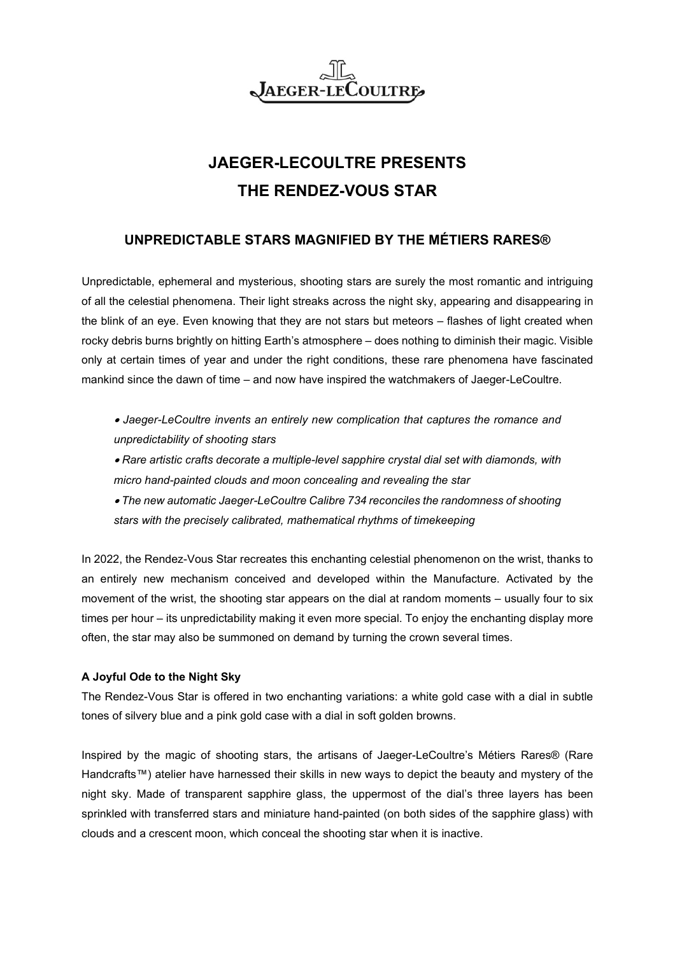## **JAEGER-LE** Coultre

# **JAEGER-LECOULTRE PRESENTS THE RENDEZ-VOUS STAR**

## **UNPREDICTABLE STARS MAGNIFIED BY THE MÉTIERS RARES®**

Unpredictable, ephemeral and mysterious, shooting stars are surely the most romantic and intriguing of all the celestial phenomena. Their light streaks across the night sky, appearing and disappearing in the blink of an eye. Even knowing that they are not stars but meteors – flashes of light created when rocky debris burns brightly on hitting Earth's atmosphere – does nothing to diminish their magic. Visible only at certain times of year and under the right conditions, these rare phenomena have fascinated mankind since the dawn of time – and now have inspired the watchmakers of Jaeger-LeCoultre.

- *Jaeger-LeCoultre invents an entirely new complication that captures the romance and unpredictability of shooting stars*
- *Rare artistic crafts decorate a multiple-level sapphire crystal dial set with diamonds, with micro hand-painted clouds and moon concealing and revealing the star*
- *The new automatic Jaeger-LeCoultre Calibre 734 reconciles the randomness of shooting stars with the precisely calibrated, mathematical rhythms of timekeeping*

In 2022, the Rendez-Vous Star recreates this enchanting celestial phenomenon on the wrist, thanks to an entirely new mechanism conceived and developed within the Manufacture. Activated by the movement of the wrist, the shooting star appears on the dial at random moments – usually four to six times per hour – its unpredictability making it even more special. To enjoy the enchanting display more often, the star may also be summoned on demand by turning the crown several times.

### **A Joyful Ode to the Night Sky**

The Rendez-Vous Star is offered in two enchanting variations: a white gold case with a dial in subtle tones of silvery blue and a pink gold case with a dial in soft golden browns.

Inspired by the magic of shooting stars, the artisans of Jaeger-LeCoultre's Métiers Rares® (Rare Handcrafts™) atelier have harnessed their skills in new ways to depict the beauty and mystery of the night sky. Made of transparent sapphire glass, the uppermost of the dial's three layers has been sprinkled with transferred stars and miniature hand-painted (on both sides of the sapphire glass) with clouds and a crescent moon, which conceal the shooting star when it is inactive.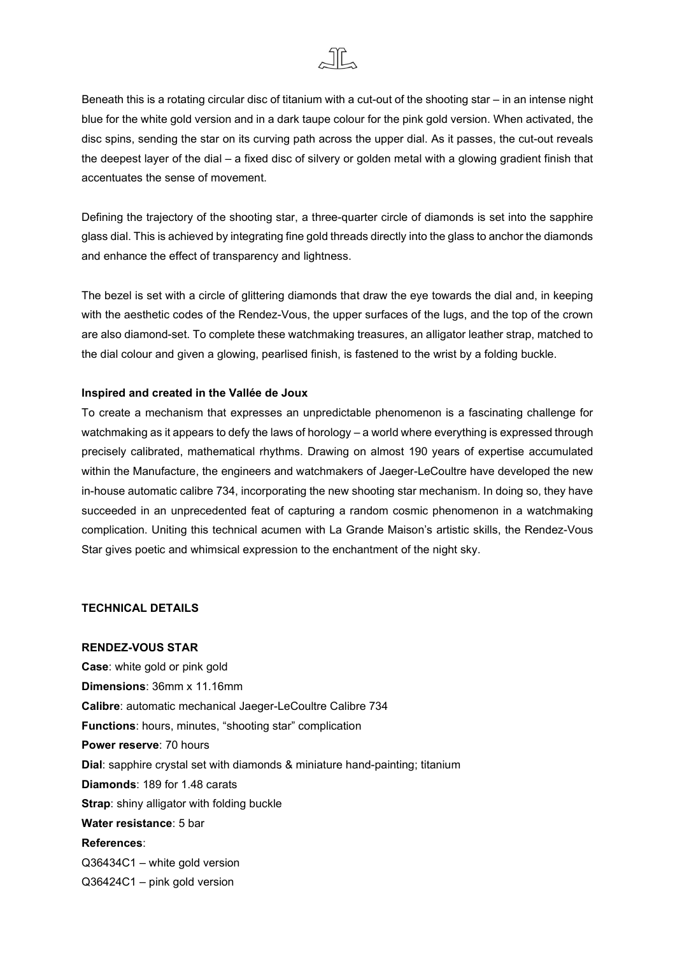

Beneath this is a rotating circular disc of titanium with a cut-out of the shooting star – in an intense night blue for the white gold version and in a dark taupe colour for the pink gold version. When activated, the disc spins, sending the star on its curving path across the upper dial. As it passes, the cut-out reveals the deepest layer of the dial – a fixed disc of silvery or golden metal with a glowing gradient finish that accentuates the sense of movement.

Defining the trajectory of the shooting star, a three-quarter circle of diamonds is set into the sapphire glass dial. This is achieved by integrating fine gold threads directly into the glass to anchor the diamonds and enhance the effect of transparency and lightness.

The bezel is set with a circle of glittering diamonds that draw the eye towards the dial and, in keeping with the aesthetic codes of the Rendez-Vous, the upper surfaces of the lugs, and the top of the crown are also diamond-set. To complete these watchmaking treasures, an alligator leather strap, matched to the dial colour and given a glowing, pearlised finish, is fastened to the wrist by a folding buckle.

#### **Inspired and created in the Vallée de Joux**

To create a mechanism that expresses an unpredictable phenomenon is a fascinating challenge for watchmaking as it appears to defy the laws of horology – a world where everything is expressed through precisely calibrated, mathematical rhythms. Drawing on almost 190 years of expertise accumulated within the Manufacture, the engineers and watchmakers of Jaeger-LeCoultre have developed the new in-house automatic calibre 734, incorporating the new shooting star mechanism. In doing so, they have succeeded in an unprecedented feat of capturing a random cosmic phenomenon in a watchmaking complication. Uniting this technical acumen with La Grande Maison's artistic skills, the Rendez-Vous Star gives poetic and whimsical expression to the enchantment of the night sky.

#### **TECHNICAL DETAILS**

#### **RENDEZ-VOUS STAR**

**Case**: white gold or pink gold **Dimensions**: 36mm x 11.16mm **Calibre**: automatic mechanical Jaeger-LeCoultre Calibre 734 **Functions**: hours, minutes, "shooting star" complication **Power reserve**: 70 hours **Dial**: sapphire crystal set with diamonds & miniature hand-painting; titanium **Diamonds**: 189 for 1.48 carats **Strap**: shiny alligator with folding buckle **Water resistance**: 5 bar **References**: Q36434C1 – white gold version Q36424C1 – pink gold version